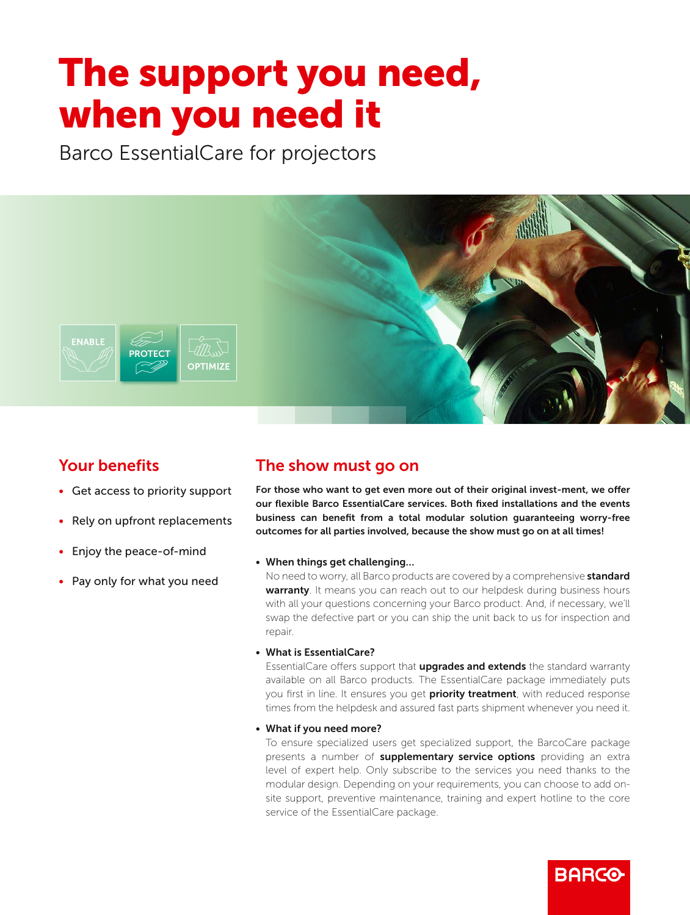# The support you need, when you need it optimized by the second second second second second second second second second second second second second second second second second second second second second second second second second second second second second se

Barco EssentialCare for projectors



# Your benefits

- Get access to priority support
- Rely on upfront replacements
- Enjoy the peace-of-mind
- Pay only for what you need

### The show must go on

For those who want to get even more out of their original invest-ment, we offer our flexible Barco EssentialCare services. Both fixed installations and the events business can benefit from a total modular solution guaranteeing worry-free outcomes for all parties involved, because the show must go on at all times!

### • When things get challenging…

No need to worry, all Barco products are covered by a comprehensive **standard** warranty. It means you can reach out to our helpdesk during business hours with all your questions concerning your Barco product. And, if necessary, we'll swap the defective part or you can ship the unit back to us for inspection and repair.

### • What is EssentialCare?

EssentialCare offers support that **upgrades and extends** the standard warranty available on all Barco products. The EssentialCare package immediately puts you first in line. It ensures you get priority treatment, with reduced response times from the helpdesk and assured fast parts shipment whenever you need it.

• What if you need more?

To ensure specialized users get specialized support, the BarcoCare package presents a number of **supplementary service options** providing an extra level of expert help. Only subscribe to the services you need thanks to the modular design. Depending on your requirements, you can choose to add onsite support, preventive maintenance, training and expert hotline to the core service of the EssentialCare package.

**BARCO**